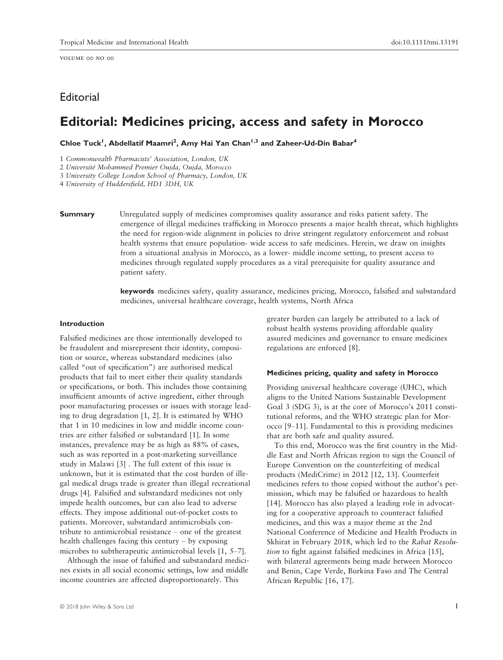volume 00 no 00

# Editorial

# Editorial: Medicines pricing, access and safety in Morocco

Chloe Tuck<sup>1</sup>, Abdellatif Maamri<sup>2</sup>, Amy Hai Yan Chan<sup>1,3</sup> and Zaheer-Ud-Din Babar<sup>4</sup>

1 Commonwealth Pharmacists' Association, London, UK

2 Universite Mohammed Premier Oujda, Oujda, Morocco

3 University College London School of Pharmacy, London, UK

4 University of Huddersfield, HD1 3DH, UK

**Summary** Unregulated supply of medicines compromises quality assurance and risks patient safety. The emergence of illegal medicines trafficking in Morocco presents a major health threat, which highlights the need for region-wide alignment in policies to drive stringent regulatory enforcement and robust health systems that ensure population- wide access to safe medicines. Herein, we draw on insights from a situational analysis in Morocco, as a lower- middle income setting, to present access to medicines through regulated supply procedures as a vital prerequisite for quality assurance and patient safety.

> keywords medicines safety, quality assurance, medicines pricing, Morocco, falsified and substandard medicines, universal healthcare coverage, health systems, North Africa

# Introduction

Falsified medicines are those intentionally developed to be fraudulent and misrepresent their identity, composition or source, whereas substandard medicines (also called "out of specification") are authorised medical products that fail to meet either their quality standards or specifications, or both. This includes those containing insufficient amounts of active ingredient, either through poor manufacturing processes or issues with storage leading to drug degradation [1, 2]. It is estimated by WHO that 1 in 10 medicines in low and middle income countries are either falsified or substandard [1]. In some instances, prevalence may be as high as 88% of cases, such as was reported in a post-marketing surveillance study in Malawi [3] . The full extent of this issue is unknown, but it is estimated that the cost burden of illegal medical drugs trade is greater than illegal recreational drugs [4]. Falsified and substandard medicines not only impede health outcomes, but can also lead to adverse effects. They impose additional out-of-pocket costs to patients. Moreover, substandard antimicrobials contribute to antimicrobial resistance – one of the greatest health challenges facing this century – by exposing microbes to subtherapeutic antimicrobial levels [1, 5–7].

Although the issue of falsified and substandard medicines exists in all social economic settings, low and middle income countries are affected disproportionately. This

greater burden can largely be attributed to a lack of robust health systems providing affordable quality assured medicines and governance to ensure medicines regulations are enforced [8].

#### Medicines pricing, quality and safety in Morocco

Providing universal healthcare coverage (UHC), which aligns to the United Nations Sustainable Development Goal 3 (SDG 3), is at the core of Morocco's 2011 constitutional reforms, and the WHO strategic plan for Morocco [9–11]. Fundamental to this is providing medicines that are both safe and quality assured.

To this end, Morocco was the first country in the Middle East and North African region to sign the Council of Europe Convention on the counterfeiting of medical products (MediCrime) in 2012 [12, 13]. Counterfeit medicines refers to those copied without the author's permission, which may be falsified or hazardous to health [14]. Morocco has also played a leading role in advocating for a cooperative approach to counteract falsified medicines, and this was a major theme at the 2nd National Conference of Medicine and Health Products in Skhirat in February 2018, which led to the Rabat Resolution to fight against falsified medicines in Africa [15], with bilateral agreements being made between Morocco and Benin, Cape Verde, Burkina Faso and The Central African Republic [16, 17].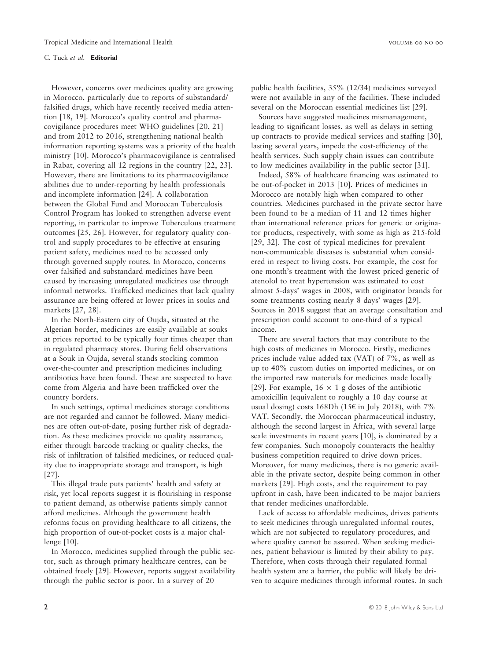#### C. Tuck et al. Editorial

However, concerns over medicines quality are growing in Morocco, particularly due to reports of substandard/ falsified drugs, which have recently received media attention [18, 19]. Morocco's quality control and pharmacovigilance procedures meet WHO guidelines [20, 21] and from 2012 to 2016, strengthening national health information reporting systems was a priority of the health ministry [10]. Morocco's pharmacovigilance is centralised in Rabat, covering all 12 regions in the country [22, 23]. However, there are limitations to its pharmacovigilance abilities due to under-reporting by health professionals and incomplete information [24]. A collaboration between the Global Fund and Moroccan Tuberculosis Control Program has looked to strengthen adverse event reporting, in particular to improve Tuberculous treatment outcomes [25, 26]. However, for regulatory quality control and supply procedures to be effective at ensuring patient safety, medicines need to be accessed only through governed supply routes. In Morocco, concerns over falsified and substandard medicines have been caused by increasing unregulated medicines use through informal networks. Trafficked medicines that lack quality assurance are being offered at lower prices in souks and markets [27, 28].

In the North-Eastern city of Oujda, situated at the Algerian border, medicines are easily available at souks at prices reported to be typically four times cheaper than in regulated pharmacy stores. During field observations at a Souk in Oujda, several stands stocking common over-the-counter and prescription medicines including antibiotics have been found. These are suspected to have come from Algeria and have been trafficked over the country borders.

In such settings, optimal medicines storage conditions are not regarded and cannot be followed. Many medicines are often out-of-date, posing further risk of degradation. As these medicines provide no quality assurance, either through barcode tracking or quality checks, the risk of infiltration of falsified medicines, or reduced quality due to inappropriate storage and transport, is high [27].

This illegal trade puts patients' health and safety at risk, yet local reports suggest it is flourishing in response to patient demand, as otherwise patients simply cannot afford medicines. Although the government health reforms focus on providing healthcare to all citizens, the high proportion of out-of-pocket costs is a major challenge [10].

In Morocco, medicines supplied through the public sector, such as through primary healthcare centres, can be obtained freely [29]. However, reports suggest availability through the public sector is poor. In a survey of 20

public health facilities, 35% (12/34) medicines surveyed were not available in any of the facilities. These included several on the Moroccan essential medicines list [29].

Sources have suggested medicines mismanagement, leading to significant losses, as well as delays in setting up contracts to provide medical services and staffing [30], lasting several years, impede the cost-efficiency of the health services. Such supply chain issues can contribute to low medicines availability in the public sector [31].

Indeed, 58% of healthcare financing was estimated to be out-of-pocket in 2013 [10]. Prices of medicines in Morocco are notably high when compared to other countries. Medicines purchased in the private sector have been found to be a median of 11 and 12 times higher than international reference prices for generic or originator products, respectively, with some as high as 215-fold [29, 32]. The cost of typical medicines for prevalent non-communicable diseases is substantial when considered in respect to living costs. For example, the cost for one month's treatment with the lowest priced generic of atenolol to treat hypertension was estimated to cost almost 5-days' wages in 2008, with originator brands for some treatments costing nearly 8 days' wages [29]. Sources in 2018 suggest that an average consultation and prescription could account to one-third of a typical income.

There are several factors that may contribute to the high costs of medicines in Morocco. Firstly, medicines prices include value added tax (VAT) of 7%, as well as up to 40% custom duties on imported medicines, or on the imported raw materials for medicines made locally [29]. For example,  $16 \times 1$  g doses of the antibiotic amoxicillin (equivalent to roughly a 10 day course at usual dosing) costs 168Dh (15€ in July 2018), with 7% VAT. Secondly, the Moroccan pharmaceutical industry, although the second largest in Africa, with several large scale investments in recent years [10], is dominated by a few companies. Such monopoly counteracts the healthy business competition required to drive down prices. Moreover, for many medicines, there is no generic available in the private sector, despite being common in other markets [29]. High costs, and the requirement to pay upfront in cash, have been indicated to be major barriers that render medicines unaffordable.

Lack of access to affordable medicines, drives patients to seek medicines through unregulated informal routes, which are not subjected to regulatory procedures, and where quality cannot be assured. When seeking medicines, patient behaviour is limited by their ability to pay. Therefore, when costs through their regulated formal health system are a barrier, the public will likely be driven to acquire medicines through informal routes. In such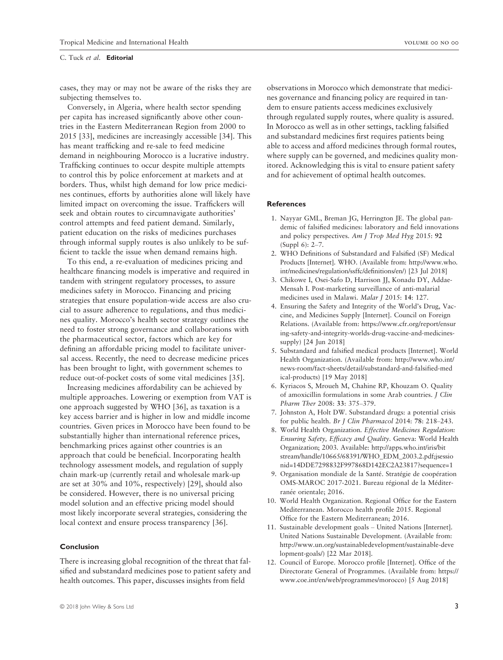### C. Tuck et al. Editorial

cases, they may or may not be aware of the risks they are subjecting themselves to.

Conversely, in Algeria, where health sector spending per capita has increased significantly above other countries in the Eastern Mediterranean Region from 2000 to 2015 [33], medicines are increasingly accessible [34]. This has meant trafficking and re-sale to feed medicine demand in neighbouring Morocco is a lucrative industry. Trafficking continues to occur despite multiple attempts to control this by police enforcement at markets and at borders. Thus, whilst high demand for low price medicines continues, efforts by authorities alone will likely have limited impact on overcoming the issue. Traffickers will seek and obtain routes to circumnavigate authorities' control attempts and feed patient demand. Similarly, patient education on the risks of medicines purchases through informal supply routes is also unlikely to be sufficient to tackle the issue when demand remains high.

To this end, a re-evaluation of medicines pricing and healthcare financing models is imperative and required in tandem with stringent regulatory processes, to assure medicines safety in Morocco. Financing and pricing strategies that ensure population-wide access are also crucial to assure adherence to regulations, and thus medicines quality. Morocco's health sector strategy outlines the need to foster strong governance and collaborations with the pharmaceutical sector, factors which are key for defining an affordable pricing model to facilitate universal access. Recently, the need to decrease medicine prices has been brought to light, with government schemes to reduce out-of-pocket costs of some vital medicines [35].

Increasing medicines affordability can be achieved by multiple approaches. Lowering or exemption from VAT is one approach suggested by WHO [36], as taxation is a key access barrier and is higher in low and middle income countries. Given prices in Morocco have been found to be substantially higher than international reference prices, benchmarking prices against other countries is an approach that could be beneficial. Incorporating health technology assessment models, and regulation of supply chain mark-up (currently retail and wholesale mark-up are set at 30% and 10%, respectively) [29], should also be considered. However, there is no universal pricing model solution and an effective pricing model should most likely incorporate several strategies, considering the local context and ensure process transparency [36].

# Conclusion

There is increasing global recognition of the threat that falsified and substandard medicines pose to patient safety and health outcomes. This paper, discusses insights from field

observations in Morocco which demonstrate that medicines governance and financing policy are required in tandem to ensure patients access medicines exclusively through regulated supply routes, where quality is assured. In Morocco as well as in other settings, tackling falsified and substandard medicines first requires patients being able to access and afford medicines through formal routes, where supply can be governed, and medicines quality monitored. Acknowledging this is vital to ensure patient safety and for achievement of optimal health outcomes.

# References

- 1. Nayyar GML, Breman JG, Herrington JE. The global pandemic of falsified medicines: laboratory and field innovations and policy perspectives. Am J Trop Med Hyg 2015: 92 (Suppl 6): 2–7.
- 2. WHO Definitions of Substandard and Falsified (SF) Medical Products [Internet]. WHO. (Available from: [http://www.who.](http://www.who.int/medicines/regulation/ssffc/definitions/en/) [int/medicines/regulation/ssffc/definitions/en/](http://www.who.int/medicines/regulation/ssffc/definitions/en/)) [23 Jul 2018]
- 3. Chikowe I, Osei-Safo D, Harrison JJ, Konadu DY, Addae-Mensah I. Post-marketing surveillance of anti-malarial medicines used in Malawi. Malar J 2015: 14: 127.
- 4. Ensuring the Safety and Integrity of the World's Drug, Vaccine, and Medicines Supply [Internet]. Council on Foreign Relations. (Available from: [https://www.cfr.org/report/ensur](https://www.cfr.org/report/ensuring-safety-and-integrity-worlds-drug-vaccine-and-medicines-supply) [ing-safety-and-integrity-worlds-drug-vaccine-and-medicines](https://www.cfr.org/report/ensuring-safety-and-integrity-worlds-drug-vaccine-and-medicines-supply)[supply](https://www.cfr.org/report/ensuring-safety-and-integrity-worlds-drug-vaccine-and-medicines-supply)) [24 Jun 2018]
- 5. Substandard and falsified medical products [Internet]. World Health Organization. (Available from: [http://www.who.int/](http://www.who.int/news-room/fact-sheets/detail/substandard-and-falsified-medical-products) [news-room/fact-sheets/detail/substandard-and-falsified-med](http://www.who.int/news-room/fact-sheets/detail/substandard-and-falsified-medical-products) [ical-products](http://www.who.int/news-room/fact-sheets/detail/substandard-and-falsified-medical-products)) [19 May 2018]
- 6. Kyriacos S, Mroueh M, Chahine RP, Khouzam O. Quality of amoxicillin formulations in some Arab countries. J Clin Pharm Ther 2008: 33: 375–379.
- 7. Johnston A, Holt DW. Substandard drugs: a potential crisis for public health. Br J Clin Pharmacol 2014: 78: 218–243.
- 8. World Health Organization. Effective Medicines Regulation: Ensuring Safety, Efficacy and Quality. Geneva: World Health Organization; 2003. Available: [http://apps.who.int/iris/bit](http://apps.who.int/iris/bitstream/handle/10665/68391/WHO_EDM_2003.2.pdf;jsessionid=14DDE7298832F997868D142EC2A23817?sequence=1) [stream/handle/10665/68391/WHO\\_EDM\\_2003.2.pdf;jsessio](http://apps.who.int/iris/bitstream/handle/10665/68391/WHO_EDM_2003.2.pdf;jsessionid=14DDE7298832F997868D142EC2A23817?sequence=1) [nid=14DDE7298832F997868D142EC2A23817?sequence=1](http://apps.who.int/iris/bitstream/handle/10665/68391/WHO_EDM_2003.2.pdf;jsessionid=14DDE7298832F997868D142EC2A23817?sequence=1)
- 9. Organisation mondiale de la Santé. Stratégie de coopération OMS-MAROC 2017-2021. Bureau regional de la Mediterranée orientale; 2016.
- 10. World Health Organization. Regional Office for the Eastern Mediterranean. Morocco health profile 2015. Regional Office for the Eastern Mediterranean; 2016.
- 11. Sustainable development goals United Nations [Internet]. United Nations Sustainable Development. (Available from: [http://www.un.org/sustainabledevelopment/sustainable-deve](http://www.un.org/sustainabledevelopment/sustainable-development-goals/) [lopment-goals/](http://www.un.org/sustainabledevelopment/sustainable-development-goals/)) [22 Mar 2018].
- 12. Council of Europe. Morocco profile [Internet]. Office of the Directorate General of Programmes. (Available from: [https://](https://www.coe.int/en/web/programmes/morocco) [www.coe.int/en/web/programmes/morocco\)](https://www.coe.int/en/web/programmes/morocco) [5 Aug 2018]